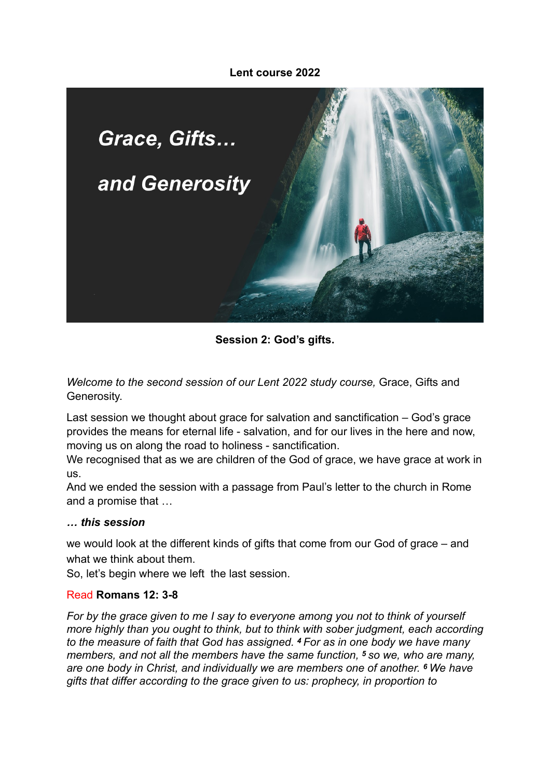### **Lent course 2022**



**Session 2: God's gifts.**

*Welcome to the second session of our Lent 2022 study course. Grace, Gifts and* Generosity.

Last session we thought about grace for salvation and sanctification – God's grace provides the means for eternal life - salvation, and for our lives in the here and now, moving us on along the road to holiness - sanctification.

We recognised that as we are children of the God of grace, we have grace at work in us.

And we ended the session with a passage from Paul's letter to the church in Rome and a promise that …

#### *… this session*

we would look at the different kinds of gifts that come from our God of grace – and what we think about them.

So, let's begin where we left the last session.

#### Read **Romans 12: 3-8**

*For by the grace given to me I say to everyone among you not to think of yourself more highly than you ought to think, but to think with sober judgment, each according to the measure of faith that God has assigned. 4 For as in one body we have many members, and not all the members have the same function, 5 so we, who are many, are one body in Christ, and individually we are members one of another. 6 We have gifts that differ according to the grace given to us: prophecy, in proportion to*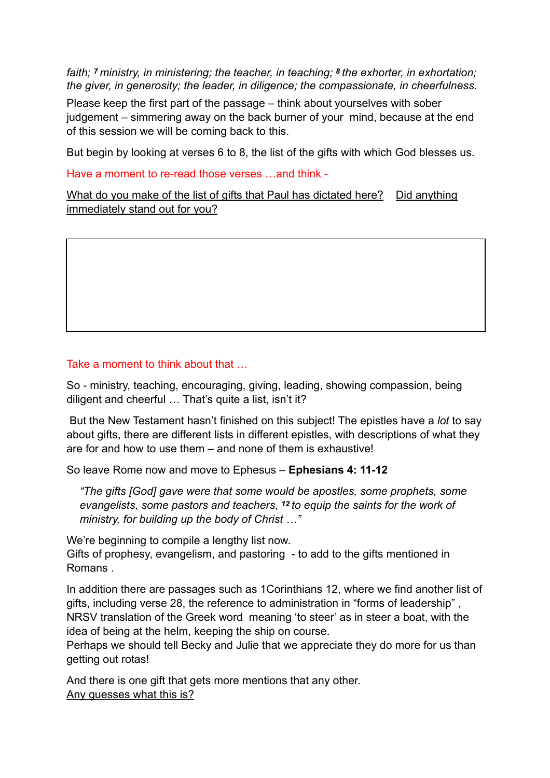*faith; 7 ministry, in ministering; the teacher, in teaching; 8 the exhorter, in exhortation; the giver, in generosity; the leader, in diligence; the compassionate, in cheerfulness.*

Please keep the first part of the passage – think about yourselves with sober judgement – simmering away on the back burner of your mind, because at the end of this session we will be coming back to this.

But begin by looking at verses 6 to 8, the list of the gifts with which God blesses us.

Have a moment to re-read those verses …and think -

What do you make of the list of gifts that Paul has dictated here? Did anything immediately stand out for you?

## Take a moment to think about that …

So - ministry, teaching, encouraging, giving, leading, showing compassion, being diligent and cheerful … That's quite a list, isn't it?

 But the New Testament hasn't finished on this subject! The epistles have a *lot* to say about gifts, there are different lists in different epistles, with descriptions of what they are for and how to use them – and none of them is exhaustive!

So leave Rome now and move to Ephesus – **Ephesians 4: 11-12**

*"The gifts [God] gave were that some would be apostles, some prophets, some evangelists, some pastors and teachers, 12 to equip the saints for the work of ministry, for building up the body of Christ …"* 

We're beginning to compile a lengthy list now.

Gifts of prophesy, evangelism, and pastoring - to add to the gifts mentioned in Romans .

In addition there are passages such as 1Corinthians 12, where we find another list of gifts, including verse 28, the reference to administration in "forms of leadership" , NRSV translation of the Greek word meaning 'to steer' as in steer a boat, with the idea of being at the helm, keeping the ship on course.

Perhaps we should tell Becky and Julie that we appreciate they do more for us than getting out rotas!

And there is one gift that gets more mentions that any other. Any guesses what this is?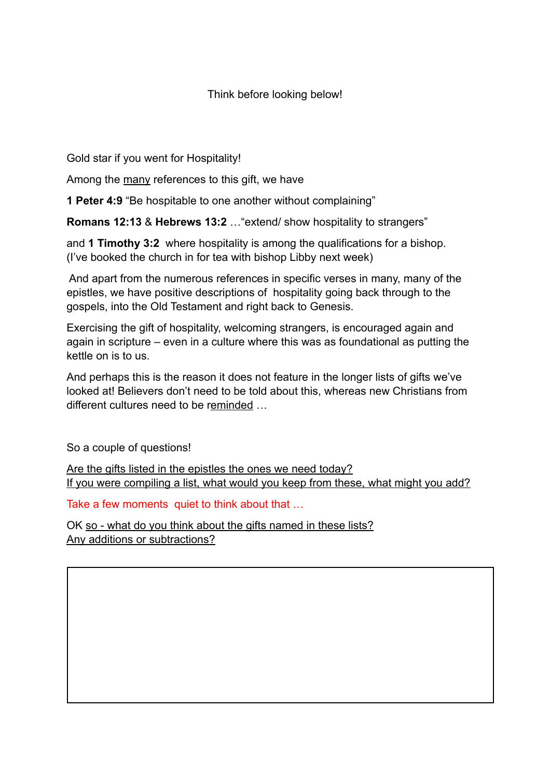Think before looking below!

Gold star if you went for Hospitality!

Among the many references to this gift, we have

**1 Peter 4:9** "Be hospitable to one another without complaining"

**Romans 12:13** & **Hebrews 13:2** …"extend/ show hospitality to strangers"

and **1 Timothy 3:2** where hospitality is among the qualifications for a bishop. (I've booked the church in for tea with bishop Libby next week)

 And apart from the numerous references in specific verses in many, many of the epistles, we have positive descriptions of hospitality going back through to the gospels, into the Old Testament and right back to Genesis.

Exercising the gift of hospitality, welcoming strangers, is encouraged again and again in scripture – even in a culture where this was as foundational as putting the kettle on is to us.

And perhaps this is the reason it does not feature in the longer lists of gifts we've looked at! Believers don't need to be told about this, whereas new Christians from different cultures need to be reminded …

So a couple of questions!

Are the gifts listed in the epistles the ones we need today? If you were compiling a list, what would you keep from these, what might you add?

Take a few moments quiet to think about that …

OK so - what do you think about the gifts named in these lists? Any additions or subtractions?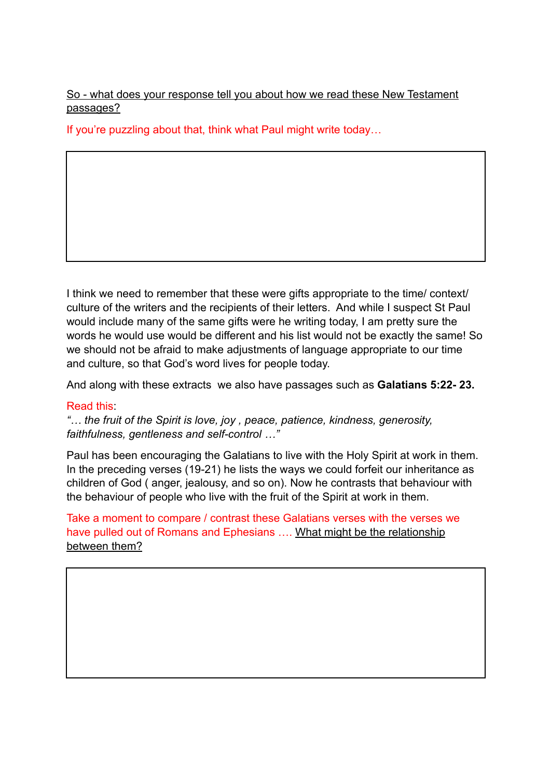So - what does your response tell you about how we read these New Testament passages?

If you're puzzling about that, think what Paul might write today…

I think we need to remember that these were gifts appropriate to the time/ context/ culture of the writers and the recipients of their letters. And while I suspect St Paul would include many of the same gifts were he writing today, I am pretty sure the words he would use would be different and his list would not be exactly the same! So we should not be afraid to make adjustments of language appropriate to our time and culture, so that God's word lives for people today.

And along with these extracts we also have passages such as **Galatians 5:22- 23.** 

### Read this:

*"… the fruit of the Spirit is love, joy , peace, patience, kindness, generosity, faithfulness, gentleness and self-control …"*

Paul has been encouraging the Galatians to live with the Holy Spirit at work in them. In the preceding verses (19-21) he lists the ways we could forfeit our inheritance as children of God ( anger, jealousy, and so on). Now he contrasts that behaviour with the behaviour of people who live with the fruit of the Spirit at work in them.

Take a moment to compare / contrast these Galatians verses with the verses we have pulled out of Romans and Ephesians .... What might be the relationship between them?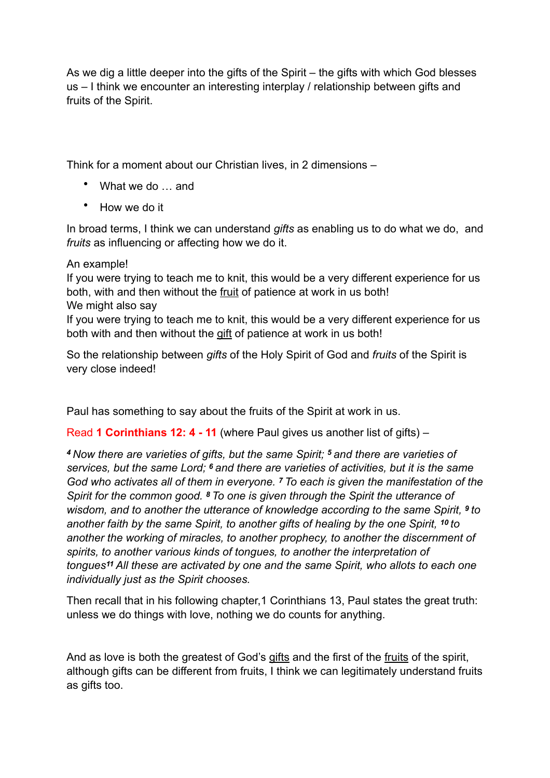As we dig a little deeper into the gifts of the Spirit – the gifts with which God blesses us – I think we encounter an interesting interplay / relationship between gifts and fruits of the Spirit.

Think for a moment about our Christian lives, in 2 dimensions –

- What we do ... and
- How we do it

In broad terms, I think we can understand *gifts* as enabling us to do what we do, and *fruits* as influencing or affecting how we do it.

### An example!

If you were trying to teach me to knit, this would be a very different experience for us both, with and then without the fruit of patience at work in us both! We might also say

If you were trying to teach me to knit, this would be a very different experience for us both with and then without the gift of patience at work in us both!

So the relationship between *gifts* of the Holy Spirit of God and *fruits* of the Spirit is very close indeed!

Paul has something to say about the fruits of the Spirit at work in us.

Read **1 Corinthians 12: 4 - 11** (where Paul gives us another list of gifts) –

*<sup>4</sup>Now there are varieties of gifts, but the same Spirit; 5 and there are varieties of services, but the same Lord; 6 and there are varieties of activities, but it is the same God who activates all of them in everyone. 7 To each is given the manifestation of the Spirit for the common good. 8 To one is given through the Spirit the utterance of wisdom, and to another the utterance of knowledge according to the same Spirit, <sup>9</sup> to another faith by the same Spirit, to another gifts of healing by the one Spirit, 10 to another the working of miracles, to another prophecy, to another the discernment of spirits, to another various kinds of tongues, to another the interpretation of tongues11 All these are activated by one and the same Spirit, who allots to each one individually just as the Spirit chooses.* 

Then recall that in his following chapter,1 Corinthians 13, Paul states the great truth: unless we do things with love, nothing we do counts for anything.

And as love is both the greatest of God's gifts and the first of the fruits of the spirit, although gifts can be different from fruits, I think we can legitimately understand fruits as gifts too.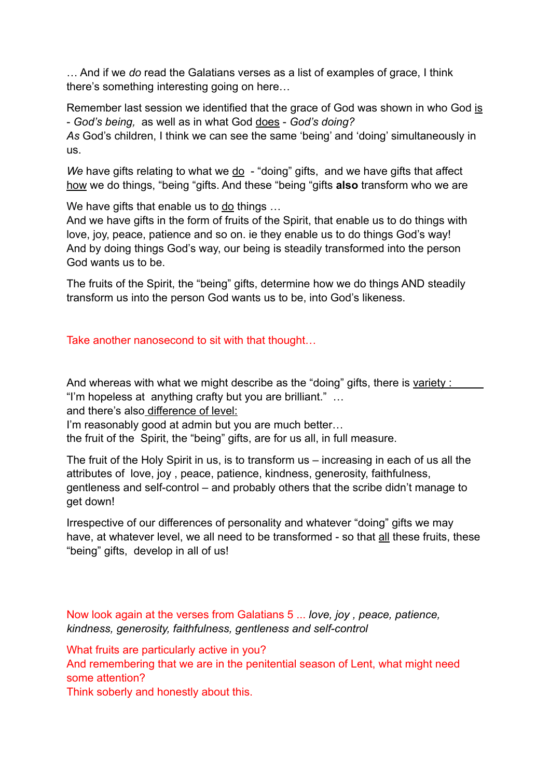… And if we *do* read the Galatians verses as a list of examples of grace, I think there's something interesting going on here…

Remember last session we identified that the grace of God was shown in who God is - *God's being,* as well as in what God does - *God's doing?* 

*As* God's children, I think we can see the same 'being' and 'doing' simultaneously in us.

*We* have gifts relating to what we <u>do</u> - "doing" gifts, and we have gifts that affect how we do things, "being "gifts. And these "being "gifts **also** transform who we are

We have gifts that enable us to  $\underline{do}$  things ...

And we have gifts in the form of fruits of the Spirit, that enable us to do things with love, joy, peace, patience and so on. ie they enable us to do things God's way! And by doing things God's way, our being is steadily transformed into the person God wants us to be.

The fruits of the Spirit, the "being" gifts, determine how we do things AND steadily transform us into the person God wants us to be, into God's likeness.

Take another nanosecond to sit with that thought…

And whereas with what we might describe as the "doing" gifts, there is variety : "I'm hopeless at anything crafty but you are brilliant." …

and there's also difference of level:

I'm reasonably good at admin but you are much better…

the fruit of the Spirit, the "being" gifts, are for us all, in full measure.

The fruit of the Holy Spirit in us, is to transform us – increasing in each of us all the attributes of love, joy , peace, patience, kindness, generosity, faithfulness, gentleness and self-control – and probably others that the scribe didn't manage to get down!

Irrespective of our differences of personality and whatever "doing" gifts we may have, at whatever level, we all need to be transformed - so that all these fruits, these "being" gifts, develop in all of us!

Now look again at the verses from Galatians 5 ... *love, joy , peace, patience, kindness, generosity, faithfulness, gentleness and self-control*

What fruits are particularly active in you?

And remembering that we are in the penitential season of Lent, what might need some attention?

Think soberly and honestly about this.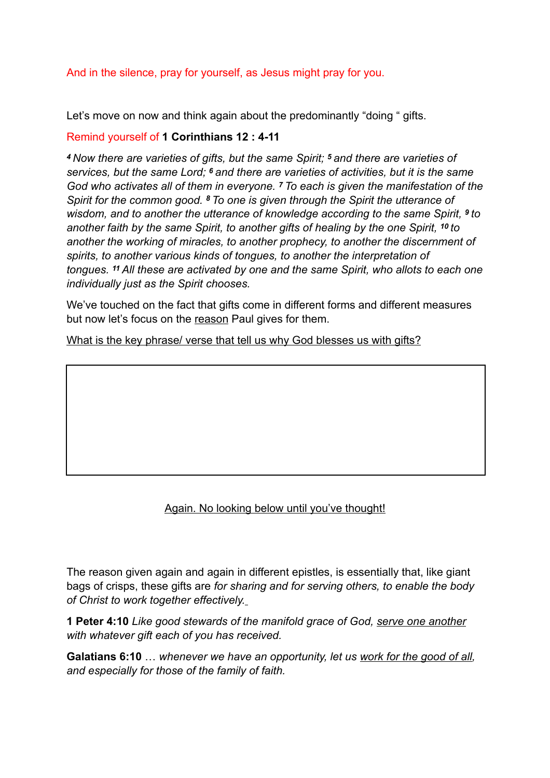# And in the silence, pray for yourself, as Jesus might pray for you.

Let's move on now and think again about the predominantly "doing " gifts.

## Remind yourself of **1 Corinthians 12 : 4-11**

*<sup>4</sup>Now there are varieties of gifts, but the same Spirit; 5 and there are varieties of services, but the same Lord; 6 and there are varieties of activities, but it is the same God who activates all of them in everyone. 7 To each is given the manifestation of the Spirit for the common good. 8 To one is given through the Spirit the utterance of wisdom, and to another the utterance of knowledge according to the same Spirit, <sup>9</sup> to another faith by the same Spirit, to another gifts of healing by the one Spirit, 10 to another the working of miracles, to another prophecy, to another the discernment of spirits, to another various kinds of tongues, to another the interpretation of tongues. 11 All these are activated by one and the same Spirit, who allots to each one individually just as the Spirit chooses.*

We've touched on the fact that gifts come in different forms and different measures but now let's focus on the reason Paul gives for them.

What is the key phrase/ verse that tell us why God blesses us with gifts?

# Again. No looking below until you've thought!

The reason given again and again in different epistles, is essentially that, like giant bags of crisps, these gifts are *for sharing and for serving others, to enable the body of Christ to work together effectively.*

**1 Peter 4:10** *Like good stewards of the manifold grace of God, serve one another with whatever gift each of you has received.*

**Galatians 6:10** … *whenever we have an opportunity, let us work for the good of all, and especially for those of the family of faith.*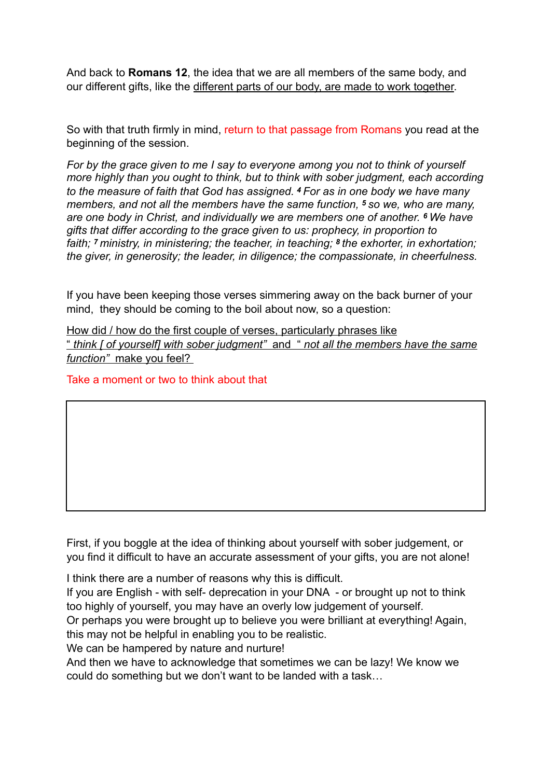And back to **Romans 12**, the idea that we are all members of the same body, and our different gifts, like the different parts of our body, are made to work together.

So with that truth firmly in mind, return to that passage from Romans you read at the beginning of the session.

*For by the grace given to me I say to everyone among you not to think of yourself more highly than you ought to think, but to think with sober judgment, each according to the measure of faith that God has assigned. <sup>4</sup>For as in one body we have many members, and not all the members have the same function, 5 so we, who are many, are one body in Christ, and individually we are members one of another. 6 We have gifts that differ according to the grace given to us: prophecy, in proportion to faith; 7 ministry, in ministering; the teacher, in teaching; 8 the exhorter, in exhortation; the giver, in generosity; the leader, in diligence; the compassionate, in cheerfulness.*

If you have been keeping those verses simmering away on the back burner of your mind, they should be coming to the boil about now, so a question:

How did / how do the first couple of verses, particularly phrases like " *think [ of yourself] with sober judgment"* and " *not all the members have the same function"* make you feel?

Take a moment or two to think about that

First, if you boggle at the idea of thinking about yourself with sober judgement, or you find it difficult to have an accurate assessment of your gifts, you are not alone!

I think there are a number of reasons why this is difficult.

If you are English - with self- deprecation in your DNA - or brought up not to think too highly of yourself, you may have an overly low judgement of yourself.

Or perhaps you were brought up to believe you were brilliant at everything! Again, this may not be helpful in enabling you to be realistic.

We can be hampered by nature and nurture!

And then we have to acknowledge that sometimes we can be lazy! We know we could do something but we don't want to be landed with a task…